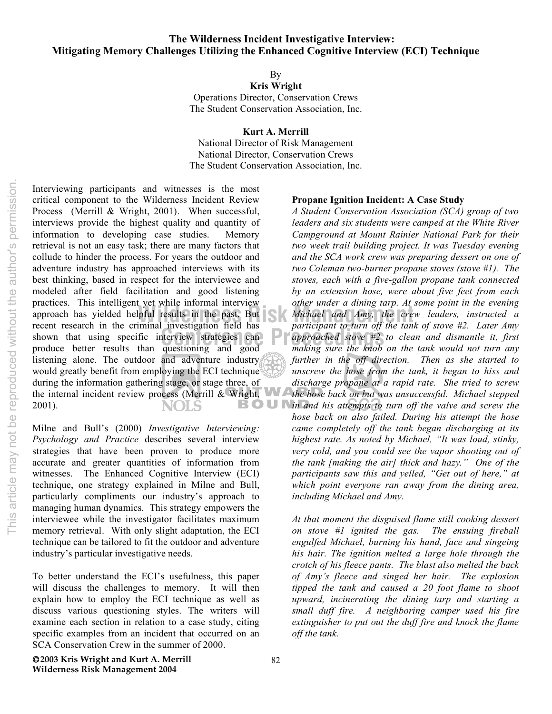By

**Kris Wright** Operations Director, Conservation Crews The Student Conservation Association, Inc.

**Kurt A. Merrill**

National Director of Risk Management National Director, Conservation Crews The Student Conservation Association, Inc.

Interviewing participants and witnesses is the most critical component to the Wilderness Incident Review Process (Merrill & Wright, 2001). When successful, interviews provide the highest quality and quantity of information to developing case studies. Memory retrieval is not an easy task; there are many factors that collude to hinder the process. For years the outdoor and adventure industry has approached interviews with its best thinking, based in respect for the interviewee and modeled after field facilitation and good listening practices. This intelligent yet while informal interview proach has yielded helpful results in the past. But<br>
recent research in the criminal investigation field has<br> *narticinant to turn off the tan* recent research in the criminal investigation field has shown that using specific interview strategies can produce better results than questioning and good listening alone. The outdoor and adventure industry would greatly benefit from employing the ECI technique during the information gathering stage, or stage three, of the internal incident review process (Merrill & Wright, 2001). BOUN NOLS

Milne and Bull's (2000) *Investigative Interviewing: Psychology and Practice* describes several interview strategies that have been proven to produce more accurate and greater quantities of information from witnesses. The Enhanced Cognitive Interview (ECI) technique, one strategy explained in Milne and Bull, particularly compliments our industry's approach to managing human dynamics. This strategy empowers the interviewee while the investigator facilitates maximum memory retrieval. With only slight adaptation, the ECI technique can be tailored to fit the outdoor and adventure industry's particular investigative needs.

To better understand the ECI's usefulness, this paper will discuss the challenges to memory. It will then explain how to employ the ECI technique as well as discuss various questioning styles. The writers will examine each section in relation to a case study, citing specific examples from an incident that occurred on an SCA Conservation Crew in the summer of 2000.

#### **Propane Ignition Incident: A Case Study**

examplement of the clean and dismantle it, first<br> *cuestioning* and good making sure the knob on the tank would not turn any *A Student Conservation Association (SCA) group of two leaders and six students were camped at the White River Campground at Mount Rainier National Park for their two week trail building project. It was Tuesday evening and the SCA work crew was preparing dessert on one of two Coleman two-burner propane stoves (stove #1). The stoves, each with a five-gallon propane tank connected by an extension hose, were about five feet from each other under a dining tarp. At some point in the evening Michael and Amy, the crew leaders, instructed a participant to turn off the tank of stove #2. Later Amy making sure the knob on the tank would not turn any further in the off direction. Then as she started to unscrew the hose from the tank, it began to hiss and discharge propane at a rapid rate. She tried to screw the hose back on but was unsuccessful. Michael stepped in and his attempts to turn off the valve and screw the hose back on also failed. During his attempt the hose came completely off the tank began discharging at its highest rate. As noted by Michael, "It was loud, stinky, very cold, and you could see the vapor shooting out of the tank [making the air] thick and hazy." One of the participants saw this and yelled, "Get out of here," at which point everyone ran away from the dining area, including Michael and Amy.* 

> *At that moment the disguised flame still cooking dessert on stove #1 ignited the gas. The ensuing fireball engulfed Michael, burning his hand, face and singeing his hair. The ignition melted a large hole through the crotch of his fleece pants. The blast also melted the back of Amy's fleece and singed her hair. The explosion tipped the tank and caused a 20 foot flame to shoot upward, incinerating the dining tarp and starting a small duff fire. A neighboring camper used his fire extinguisher to put out the duff fire and knock the flame off the tank.*

**2003 Kris Wright and Kurt A. Merrill Wilderness Risk Management 2004**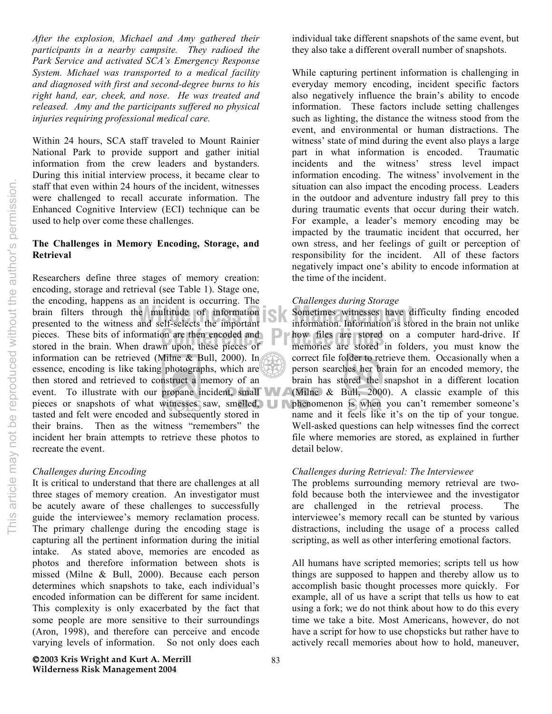*After the explosion, Michael and Amy gathered their participants in a nearby campsite. They radioed the Park Service and activated SCA's Emergency Response System. Michael was transported to a medical facility and diagnosed with first and second-degree burns to his right hand, ear, cheek, and nose. He was treated and released. Amy and the participants suffered no physical injuries requiring professional medical care.*

Within 24 hours, SCA staff traveled to Mount Rainier National Park to provide support and gather initial information from the crew leaders and bystanders. During this initial interview process, it became clear to staff that even within 24 hours of the incident, witnesses were challenged to recall accurate information. The Enhanced Cognitive Interview (ECI) technique can be used to help over come these challenges.

# **The Challenges in Memory Encoding, Storage, and Retrieval**

pieces. These bits of information are then encoded and **Proceeding the intervalse are stored**<br>
proces in the brain. When drawn upon, these pieces of **Proceeding the intervalse are stored** brain filters through the multitude of information<br>presented to the witness and self-selects the important information. Information is sto Researchers define three stages of memory creation: encoding, storage and retrieval (see Table 1). Stage one, the encoding, happens as an incident is occurring. The presented to the witness and self-selects the important stored in the brain. When drawn upon, these pieces of information can be retrieved (Milne & Bull, 2000). In essence, encoding is like taking photographs, which are then stored and retrieved to construct a memory of an event. To illustrate with our propane incident, small pieces or snapshots of what witnesses saw, smelled, **but phenomenon** is when you can't remember someone's tasted and felt were encoded and subsequently stored in their brains. Then as the witness "remembers" the incident her brain attempts to retrieve these photos to recreate the event.

### *Challenges during Encoding*

It is critical to understand that there are challenges at all three stages of memory creation. An investigator must be acutely aware of these challenges to successfully guide the interviewee's memory reclamation process. The primary challenge during the encoding stage is capturing all the pertinent information during the initial intake. As stated above, memories are encoded as photos and therefore information between shots is missed (Milne & Bull, 2000). Because each person determines which snapshots to take, each individual's encoded information can be different for same incident. This complexity is only exacerbated by the fact that some people are more sensitive to their surroundings (Aron, 1998), and therefore can perceive and encode varying levels of information. So not only does each

**2003 Kris Wright and Kurt A. Merrill Wilderness Risk Management 2004**

individual take different snapshots of the same event, but they also take a different overall number of snapshots.

While capturing pertinent information is challenging in everyday memory encoding, incident specific factors also negatively influence the brain's ability to encode information. These factors include setting challenges such as lighting, the distance the witness stood from the event, and environmental or human distractions. The witness' state of mind during the event also plays a large part in what information is encoded. Traumatic incidents and the witness' stress level impact information encoding. The witness' involvement in the situation can also impact the encoding process. Leaders in the outdoor and adventure industry fall prey to this during traumatic events that occur during their watch. For example, a leader's memory encoding may be impacted by the traumatic incident that occurred, her own stress, and her feelings of guilt or perception of responsibility for the incident. All of these factors negatively impact one's ability to encode information at the time of the incident.

## *Challenges during Storage*

Sometimes witnesses have difficulty finding encoded information. Information is stored in the brain not unlike how files are stored on a computer hard-drive. If memories are stored in folders, you must know the correct file folder to retrieve them. Occasionally when a person searches her brain for an encoded memory, the brain has stored the snapshot in a different location (Milne & Bull, 2000). A classic example of this name and it feels like it's on the tip of your tongue. Well-asked questions can help witnesses find the correct file where memories are stored, as explained in further detail below.

## *Challenges during Retrieval: The Interviewee*

The problems surrounding memory retrieval are twofold because both the interviewee and the investigator are challenged in the retrieval process. The interviewee's memory recall can be stunted by various distractions, including the usage of a process called scripting, as well as other interfering emotional factors.

All humans have scripted memories; scripts tell us how things are supposed to happen and thereby allow us to accomplish basic thought processes more quickly. For example, all of us have a script that tells us how to eat using a fork; we do not think about how to do this every time we take a bite. Most Americans, however, do not have a script for how to use chopsticks but rather have to actively recall memories about how to hold, maneuver,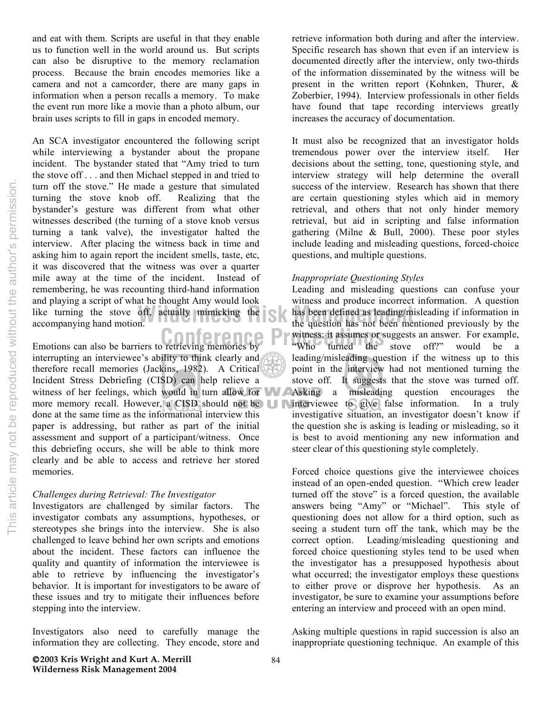and eat with them. Scripts are useful in that they enable us to function well in the world around us. But scripts can also be disruptive to the memory reclamation process. Because the brain encodes memories like a camera and not a camcorder, there are many gaps in information when a person recalls a memory. To make the event run more like a movie than a photo album, our brain uses scripts to fill in gaps in encoded memory.

like turning the stove off, actually mimicking the state has been defined as leading/m accompanying hand motion. An SCA investigator encountered the following script while interviewing a bystander about the propane incident. The bystander stated that "Amy tried to turn the stove off . . . and then Michael stepped in and tried to turn off the stove." He made a gesture that simulated turning the stove knob off. Realizing that the bystander's gesture was different from what other witnesses described (the turning of a stove knob versus turning a tank valve), the investigator halted the interview. After placing the witness back in time and asking him to again report the incident smells, taste, etc, it was discovered that the witness was over a quarter mile away at the time of the incident. Instead of remembering, he was recounting third-hand information and playing a script of what he thought Amy would look accompanying hand motion.

Emotions can also be barriers to retrieving memories by **Example 1988** Who turned the interrupting an interviewee's ability to think clearly and  $\phi$ therefore recall memories (Jackins, 1982). A Critical Incident Stress Debriefing (CISD) can help relieve a witness of her feelings, which would in turn allow for **Asking** a misleading question encourages the more memory recall. However, a CISD should not be **interviewee** to give false information. In a truly done at the same time as the informational interview this paper is addressing, but rather as part of the initial assessment and support of a participant/witness. Once this debriefing occurs, she will be able to think more clearly and be able to access and retrieve her stored memories.

### *Challenges during Retrieval: The Investigator*

Investigators are challenged by similar factors. The investigator combats any assumptions, hypotheses, or stereotypes she brings into the interview. She is also challenged to leave behind her own scripts and emotions about the incident. These factors can influence the quality and quantity of information the interviewee is able to retrieve by influencing the investigator's behavior. It is important for investigators to be aware of these issues and try to mitigate their influences before stepping into the interview.

Investigators also need to carefully manage the information they are collecting. They encode, store and

retrieve information both during and after the interview. Specific research has shown that even if an interview is documented directly after the interview, only two-thirds of the information disseminated by the witness will be present in the written report (Kohnken, Thurer, & Zoberbier, 1994). Interview professionals in other fields have found that tape recording interviews greatly increases the accuracy of documentation.

It must also be recognized that an investigator holds tremendous power over the interview itself. Her decisions about the setting, tone, questioning style, and interview strategy will help determine the overall success of the interview. Research has shown that there are certain questioning styles which aid in memory retrieval, and others that not only hinder memory retrieval, but aid in scripting and false information gathering (Milne & Bull, 2000). These poor styles include leading and misleading questions, forced-choice questions, and multiple questions.

# *Inappropriate Questioning Styles*

Leading and misleading questions can confuse your witness and produce incorrect information. A question has been defined as leading/misleading if information in the question has not been mentioned previously by the witness; it assumes or suggests an answer. For example, "Who turned the stove off?" would be a leading/misleading question if the witness up to this point in the interview had not mentioned turning the stove off. It suggests that the stove was turned off. investigative situation, an investigator doesn't know if the question she is asking is leading or misleading, so it is best to avoid mentioning any new information and steer clear of this questioning style completely.

Forced choice questions give the interviewee choices instead of an open-ended question. "Which crew leader turned off the stove" is a forced question, the available answers being "Amy" or "Michael". This style of questioning does not allow for a third option, such as seeing a student turn off the tank, which may be the correct option. Leading/misleading questioning and forced choice questioning styles tend to be used when the investigator has a presupposed hypothesis about what occurred; the investigator employs these questions to either prove or disprove her hypothesis. As an investigator, be sure to examine your assumptions before entering an interview and proceed with an open mind.

Asking multiple questions in rapid succession is also an inappropriate questioning technique. An example of this

This article may not be reproduced without the author's permission. This article may not be reproduced without the author's permission.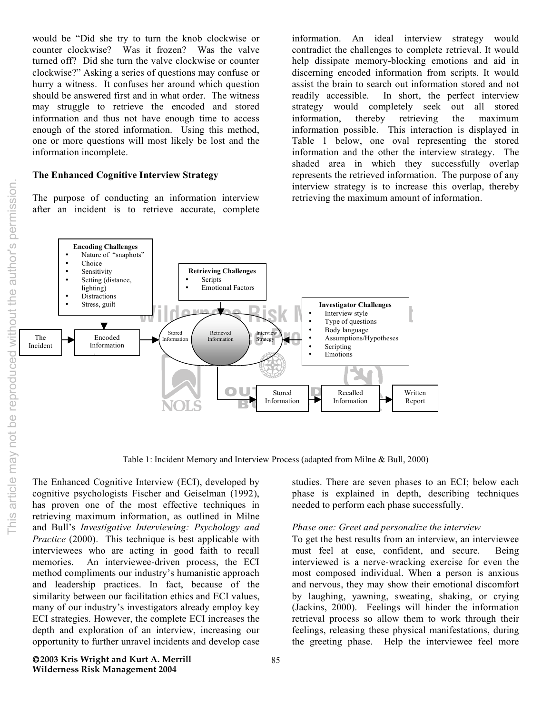would be "Did she try to turn the knob clockwise or counter clockwise? Was it frozen? Was the valve turned off? Did she turn the valve clockwise or counter clockwise?" Asking a series of questions may confuse or hurry a witness. It confuses her around which question should be answered first and in what order. The witness may struggle to retrieve the encoded and stored information and thus not have enough time to access enough of the stored information. Using this method, one or more questions will most likely be lost and the information incomplete.

# **The Enhanced Cognitive Interview Strategy**

The purpose of conducting an information interview after an incident is to retrieve accurate, complete information. An ideal interview strategy would contradict the challenges to complete retrieval. It would help dissipate memory-blocking emotions and aid in discerning encoded information from scripts. It would assist the brain to search out information stored and not readily accessible. In short, the perfect interview strategy would completely seek out all stored information, thereby retrieving the maximum information possible. This interaction is displayed in Table 1 below, one oval representing the stored information and the other the interview strategy. The shaded area in which they successfully overlap represents the retrieved information. The purpose of any interview strategy is to increase this overlap, thereby retrieving the maximum amount of information.



Table 1: Incident Memory and Interview Process (adapted from Milne & Bull, 2000)

The Enhanced Cognitive Interview (ECI), developed by cognitive psychologists Fischer and Geiselman (1992), has proven one of the most effective techniques in retrieving maximum information, as outlined in Milne and Bull's *Investigative Interviewing: Psychology and Practice* (2000). This technique is best applicable with interviewees who are acting in good faith to recall memories. An interviewee-driven process, the ECI method compliments our industry's humanistic approach and leadership practices. In fact, because of the similarity between our facilitation ethics and ECI values, many of our industry's investigators already employ key ECI strategies. However, the complete ECI increases the depth and exploration of an interview, increasing our opportunity to further unravel incidents and develop case

**2003 Kris Wright and Kurt A. Merrill Wilderness Risk Management 2004**

studies. There are seven phases to an ECI; below each phase is explained in depth, describing techniques needed to perform each phase successfully.

### *Phase one: Greet and personalize the interview*

To get the best results from an interview, an interviewee must feel at ease, confident, and secure. Being interviewed is a nerve-wracking exercise for even the most composed individual. When a person is anxious and nervous, they may show their emotional discomfort by laughing, yawning, sweating, shaking, or crying (Jackins, 2000). Feelings will hinder the information retrieval process so allow them to work through their feelings, releasing these physical manifestations, during the greeting phase. Help the interviewee feel more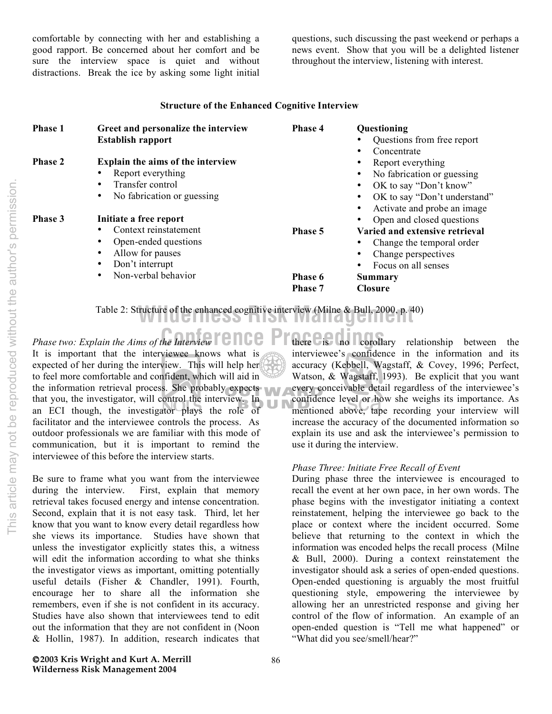comfortable by connecting with her and establishing a good rapport. Be concerned about her comfort and be sure the interview space is quiet and without distractions. Break the ice by asking some light initial questions, such discussing the past weekend or perhaps a news event. Show that you will be a delighted listener throughout the interview, listening with interest.

# **Structure of the Enhanced Cognitive Interview**

| Phase 1 | Greet and personalize the interview | Phase 4 | Questioning                    |
|---------|-------------------------------------|---------|--------------------------------|
|         | <b>Establish rapport</b>            |         | Questions from free report     |
|         |                                     |         | Concentrate                    |
| Phase 2 | Explain the aims of the interview   |         | Report everything              |
|         | Report everything                   |         | No fabrication or guessing     |
|         | Transfer control                    |         | OK to say "Don't know"         |
|         | No fabrication or guessing          |         | OK to say "Don't understand"   |
|         |                                     |         | Activate and probe an image    |
| Phase 3 | Initiate a free report              |         | Open and closed questions      |
|         | Context reinstatement               | Phase 5 | Varied and extensive retrieval |
|         | Open-ended questions                |         | Change the temporal order      |
|         | Allow for pauses<br>$\bullet$       |         | Change perspectives            |
|         | Don't interrupt                     |         | Focus on all senses            |
|         | Non-verbal behavior                 | Phase 6 | Summary                        |
|         |                                     | Phase 7 | <b>Closure</b>                 |
|         |                                     |         |                                |

**Wilderness Risk Management** Table 2: Structure of the enhanced cognitive interview (Milne & Bull, 2000, p. 40)

*Phase two: Explain the Aims of the Interview* **COLO Primerical is the Property of Algebra** It is important that the interviewee knows what is expected of her during the interview. This will help her to feel more comfortable and confident, which will aid in the information retrieval process. She probably expects that you, the investigator, will control the interview. In an ECI though, the investigator plays the role of facilitator and the interviewee controls the process. As outdoor professionals we are familiar with this mode of communication, but it is important to remind the interviewee of this before the interview starts.

Be sure to frame what you want from the interviewee during the interview. First, explain that memory retrieval takes focused energy and intense concentration. Second, explain that it is not easy task. Third, let her know that you want to know every detail regardless how she views its importance. Studies have shown that unless the investigator explicitly states this, a witness will edit the information according to what she thinks the investigator views as important, omitting potentially useful details (Fisher & Chandler, 1991). Fourth, encourage her to share all the information she remembers, even if she is not confident in its accuracy. Studies have also shown that interviewees tend to edit out the information that they are not confident in (Noon & Hollin, 1987). In addition, research indicates that

there is no corollary relationship between the interviewee's confidence in the information and its accuracy (Kebbell, Wagstaff, & Covey, 1996; Perfect, Watson, & Wagstaff, 1993). Be explicit that you want every conceivable detail regardless of the interviewee's confidence level or how she weighs its importance. As mentioned above, tape recording your interview will increase the accuracy of the documented information so explain its use and ask the interviewee's permission to use it during the interview.

## *Phase Three: Initiate Free Recall of Event*

During phase three the interviewee is encouraged to recall the event at her own pace, in her own words. The phase begins with the investigator initiating a context reinstatement, helping the interviewee go back to the place or context where the incident occurred. Some believe that returning to the context in which the information was encoded helps the recall process (Milne & Bull, 2000). During a context reinstatement the investigator should ask a series of open-ended questions. Open-ended questioning is arguably the most fruitful questioning style, empowering the interviewee by allowing her an unrestricted response and giving her control of the flow of information. An example of an open-ended question is "Tell me what happened" or "What did you see/smell/hear?"

This article may not be reproduced without the author's permission. This article may not be reproduced without the author's permission.